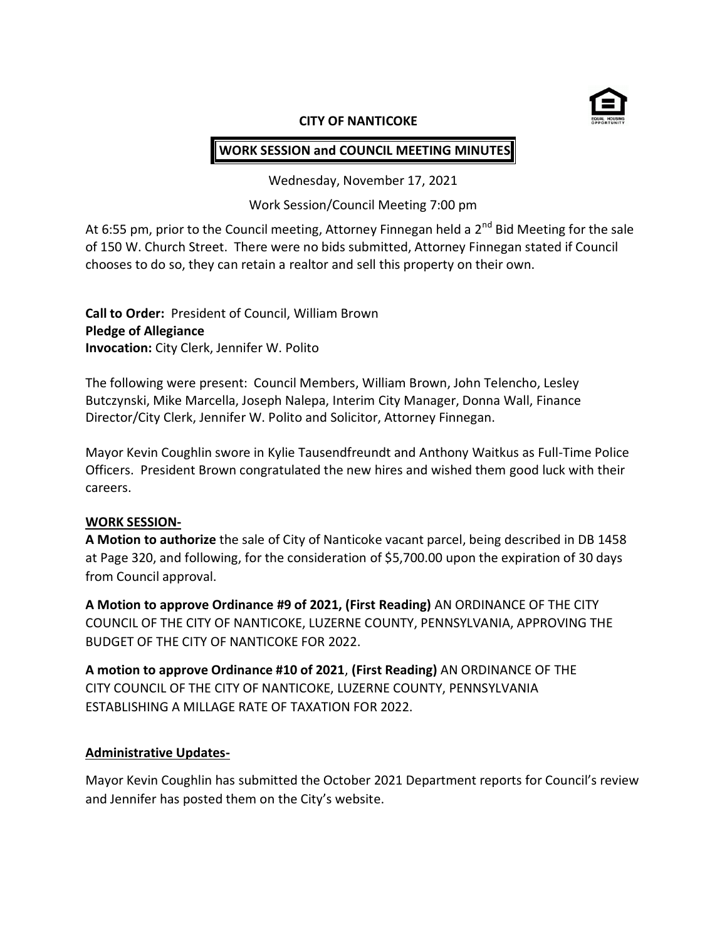

#### **CITY OF NANTICOKE**

# **WORK SESSION and COUNCIL MEETING MINUTES**

Wednesday, November 17, 2021

Work Session/Council Meeting 7:00 pm

At 6:55 pm, prior to the Council meeting, Attorney Finnegan held a  $2^{nd}$  Bid Meeting for the sale of 150 W. Church Street. There were no bids submitted, Attorney Finnegan stated if Council chooses to do so, they can retain a realtor and sell this property on their own.

**Call to Order:** President of Council, William Brown **Pledge of Allegiance Invocation:** City Clerk, Jennifer W. Polito

The following were present: Council Members, William Brown, John Telencho, Lesley Butczynski, Mike Marcella, Joseph Nalepa, Interim City Manager, Donna Wall, Finance Director/City Clerk, Jennifer W. Polito and Solicitor, Attorney Finnegan.

Mayor Kevin Coughlin swore in Kylie Tausendfreundt and Anthony Waitkus as Full-Time Police Officers. President Brown congratulated the new hires and wished them good luck with their careers.

### **WORK SESSION-**

**A Motion to authorize** the sale of City of Nanticoke vacant parcel, being described in DB 1458 at Page 320, and following, for the consideration of \$5,700.00 upon the expiration of 30 days from Council approval.

**A Motion to approve Ordinance #9 of 2021, (First Reading)** AN ORDINANCE OF THE CITY COUNCIL OF THE CITY OF NANTICOKE, LUZERNE COUNTY, PENNSYLVANIA, APPROVING THE BUDGET OF THE CITY OF NANTICOKE FOR 2022.

**A motion to approve Ordinance #10 of 2021**, **(First Reading)** AN ORDINANCE OF THE CITY COUNCIL OF THE CITY OF NANTICOKE, LUZERNE COUNTY, PENNSYLVANIA ESTABLISHING A MILLAGE RATE OF TAXATION FOR 2022.

## **Administrative Updates-**

Mayor Kevin Coughlin has submitted the October 2021 Department reports for Council's review and Jennifer has posted them on the City's website.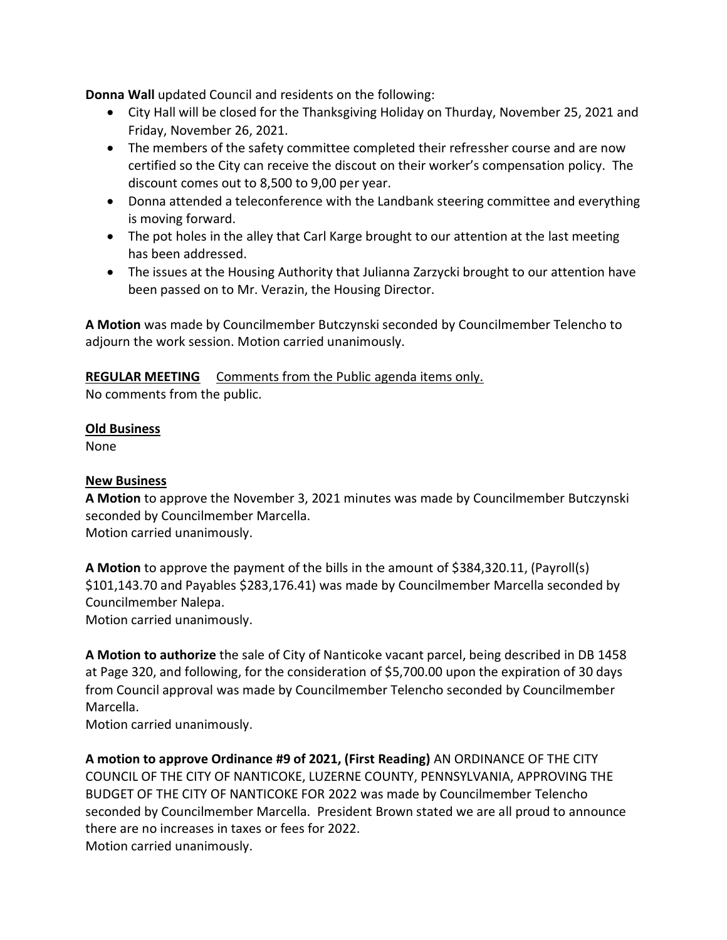**Donna Wall** updated Council and residents on the following:

- City Hall will be closed for the Thanksgiving Holiday on Thurday, November 25, 2021 and Friday, November 26, 2021.
- The members of the safety committee completed their refressher course and are now certified so the City can receive the discout on their worker's compensation policy. The discount comes out to 8,500 to 9,00 per year.
- Donna attended a teleconference with the Landbank steering committee and everything is moving forward.
- The pot holes in the alley that Carl Karge brought to our attention at the last meeting has been addressed.
- The issues at the Housing Authority that Julianna Zarzycki brought to our attention have been passed on to Mr. Verazin, the Housing Director.

**A Motion** was made by Councilmember Butczynski seconded by Councilmember Telencho to adjourn the work session. Motion carried unanimously.

**REGULAR MEETING** Comments from the Public agenda items only.

No comments from the public.

## **Old Business**

None

## **New Business**

**A Motion** to approve the November 3, 2021 minutes was made by Councilmember Butczynski seconded by Councilmember Marcella. Motion carried unanimously.

**A Motion** to approve the payment of the bills in the amount of \$384,320.11, (Payroll(s) \$101,143.70 and Payables \$283,176.41) was made by Councilmember Marcella seconded by Councilmember Nalepa.

Motion carried unanimously.

**A Motion to authorize** the sale of City of Nanticoke vacant parcel, being described in DB 1458 at Page 320, and following, for the consideration of \$5,700.00 upon the expiration of 30 days from Council approval was made by Councilmember Telencho seconded by Councilmember Marcella.

Motion carried unanimously.

**A motion to approve Ordinance #9 of 2021, (First Reading)** AN ORDINANCE OF THE CITY COUNCIL OF THE CITY OF NANTICOKE, LUZERNE COUNTY, PENNSYLVANIA, APPROVING THE BUDGET OF THE CITY OF NANTICOKE FOR 2022 was made by Councilmember Telencho seconded by Councilmember Marcella. President Brown stated we are all proud to announce there are no increases in taxes or fees for 2022. Motion carried unanimously.